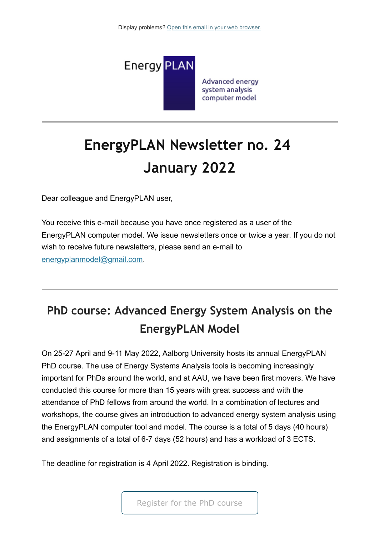

## **EnergyPLAN Newsletter no. 24 January 2022**

Dear colleague and EnergyPLAN user,

You receive this e-mail because you have once registered as a user of the EnergyPLAN computer model. We issue newsletters once or twice a year. If you do not wish to receive future newsletters, please send an e-mail to [energyplanmodel@gmail.com](mailto:energyplanmodel@gmail.com).

## **PhD course: Advanced Energy System Analysis on the EnergyPLAN Model**

On 25-27 April and 9-11 May 2022, Aalborg University hosts its annual EnergyPLAN PhD course. The use of Energy Systems Analysis tools is becoming increasingly important for PhDs around the world, and at AAU, we have been first movers. We have conducted this course for more than 15 years with great success and with the attendance of PhD fellows from around the world. In a combination of lectures and workshops, the course gives an introduction to advanced energy system analysis using the EnergyPLAN computer tool and model. The course is a total of 5 days (40 hours) and assignments of a total of 6-7 days (52 hours) and has a workload of 3 ECTS.

The deadline for registration is 4 April 2022. Registration is binding.

[Register for the PhD course](https://www.energyplan.eu/training/workshops/?utm_source=mailpoet&utm_medium=email&utm_campaign=energyplan-newsletter-no-21_11)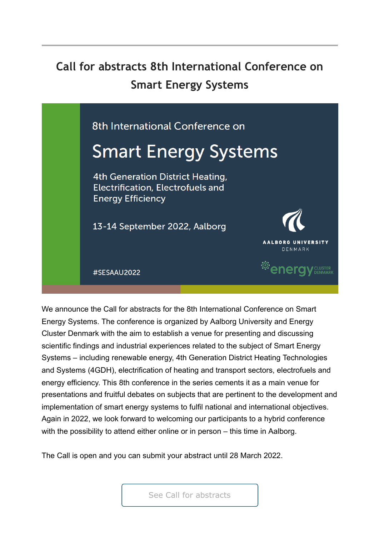## **Call for abstracts 8th International Conference on Smart Energy Systems**



We announce the Call for abstracts for the 8th International Conference on Smart Energy Systems. The conference is organized by Aalborg University and Energy Cluster Denmark with the aim to establish a venue for presenting and discussing scientific findings and industrial experiences related to the subject of Smart Energy Systems – including renewable energy, 4th Generation District Heating Technologies and Systems (4GDH), electrification of heating and transport sectors, electrofuels and energy efficiency. This 8th conference in the series cements it as a main venue for presentations and fruitful debates on subjects that are pertinent to the development and implementation of smart energy systems to fulfil national and international objectives. Again in 2022, we look forward to welcoming our participants to a hybrid conference with the possibility to attend either online or in person – this time in Aalborg.

The Call is open and you can submit your abstract until 28 March 2022.

[See Call for abstracts](https://smartenergysystems.eu/submityourabstract/)